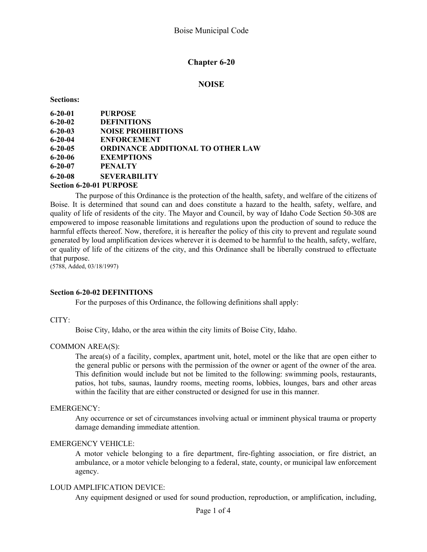# **Chapter 6-20**

## **NOISE**

**Sections:**

| $6 - 20 - 01$ | <b>PURPOSE</b>                           |
|---------------|------------------------------------------|
| $6 - 20 - 02$ | <b>DEFINITIONS</b>                       |
| $6 - 20 - 03$ | <b>NOISE PROHIBITIONS</b>                |
| $6 - 20 - 04$ | <b>ENFORCEMENT</b>                       |
| $6 - 20 - 05$ | <b>ORDINANCE ADDITIONAL TO OTHER LAW</b> |
| $6 - 20 - 06$ | <b>EXEMPTIONS</b>                        |
| $6 - 20 - 07$ | <b>PENALTY</b>                           |
| $6 - 20 - 08$ | <b>SEVERABILITY</b>                      |
|               | <b>Section 6-20-01 PURPOSE</b>           |

The purpose of this Ordinance is the protection of the health, safety, and welfare of the citizens of Boise. It is determined that sound can and does constitute a hazard to the health, safety, welfare, and quality of life of residents of the city. The Mayor and Council, by way of Idaho Code Section 50-308 are empowered to impose reasonable limitations and regulations upon the production of sound to reduce the harmful effects thereof. Now, therefore, it is hereafter the policy of this city to prevent and regulate sound generated by loud amplification devices wherever it is deemed to be harmful to the health, safety, welfare, or quality of life of the citizens of the city, and this Ordinance shall be liberally construed to effectuate that purpose.

(5788, Added, 03/18/1997)

#### **Section 6-20-02 DEFINITIONS**

For the purposes of this Ordinance, the following definitions shall apply:

#### CITY:

Boise City, Idaho, or the area within the city limits of Boise City, Idaho.

#### COMMON AREA(S):

The area(s) of a facility, complex, apartment unit, hotel, motel or the like that are open either to the general public or persons with the permission of the owner or agent of the owner of the area. This definition would include but not be limited to the following: swimming pools, restaurants, patios, hot tubs, saunas, laundry rooms, meeting rooms, lobbies, lounges, bars and other areas within the facility that are either constructed or designed for use in this manner.

#### EMERGENCY:

Any occurrence or set of circumstances involving actual or imminent physical trauma or property damage demanding immediate attention.

#### EMERGENCY VEHICLE:

A motor vehicle belonging to a fire department, fire-fighting association, or fire district, an ambulance, or a motor vehicle belonging to a federal, state, county, or municipal law enforcement agency.

#### LOUD AMPLIFICATION DEVICE:

Any equipment designed or used for sound production, reproduction, or amplification, including,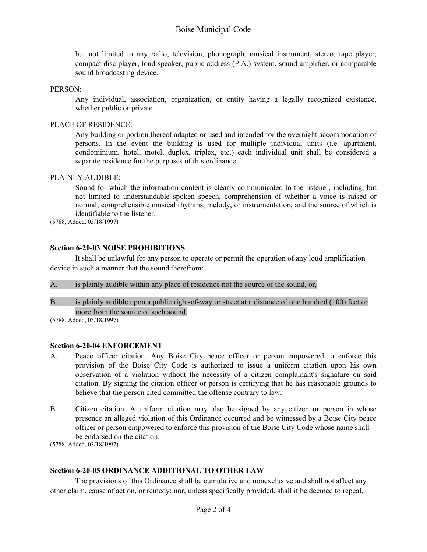# Boise Municipal Code

but not limited to any radio, television, phonograph, musical instrument, stereo, tape player, compact disc player, loud speaker, public address (P.A.) system, sound amplifier, or comparable sound broadcasting device.

#### PERSON:

Any individual, association, organization, or entity having a legally recognized existence, whether public or private.

## PLACE OF RESIDENCE:

Any building or portion thereof adapted or used and intended for the overnight accommodation of persons. In the event the building is used for multiple individual units (i.e. apartment, condominium, hotel, motel, duplex, triplex, etc.) each individual unit shall be considered a separate residence for the purposes of this ordinance.

## PLAINLY AUDIBLE:

Sound for which the information content is clearly communicated to the listener, including, but not limited to understandable spoken speech, comprehension of whether a voice is raised or normal, comprehensible musical rhythms, melody, or instrumentation, and the source of which is identifiable to the listener.

(5788, Added, 03/18/1997)

## **Section 6-20-03 NOISE PROHIBITIONS**

It shall be unlawful for any person to operate or permit the operation of any loud amplification device in such a manner that the sound therefrom:

A. is plainly audible within any place of residence not the source of the sound, or,

B. is plainly audible upon a public right-of-way or street at a distance of one hundred (100) feet or more from the source of such sound.

(5788, Added, 03/18/1997)

## **Section 6-20-04 ENFORCEMENT**

- A. Peace officer citation. Any Boise City peace officer or person empowered to enforce this provision of the Boise City Code is authorized to issue a uniform citation upon his own observation of a violation without the necessity of a citizen complainant's signature on said citation. By signing the citation officer or person is certifying that he has reasonable grounds to believe that the person cited committed the offense contrary to law.
- B. Citizen citation. A uniform citation may also be signed by any citizen or person in whose presence an alleged violation of this Ordinance occurred and be witnessed by a Boise City peace officer or person empowered to enforce this provision of the Boise City Code whose name shall be endorsed on the citation.

(5788, Added, 03/18/1997)

# **Section 6-20-05 ORDINANCE ADDITIONAL TO OTHER LAW**

The provisions of this Ordinance shall be cumulative and nonexclusive and shall not affect any other claim, cause of action, or remedy; nor, unless specifically provided, shall it be deemed to repeal,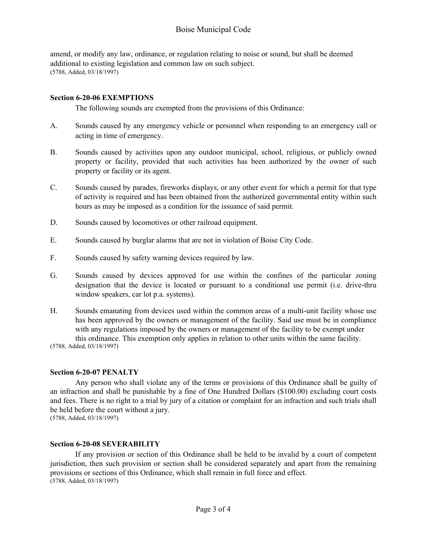amend, or modify any law, ordinance, or regulation relating to noise or sound, but shall be deemed additional to existing legislation and common law on such subject. (5788, Added, 03/18/1997)

## **Section 6-20-06 EXEMPTIONS**

The following sounds are exempted from the provisions of this Ordinance:

- A. Sounds caused by any emergency vehicle or personnel when responding to an emergency call or acting in time of emergency.
- B. Sounds caused by activities upon any outdoor municipal, school, religious, or publicly owned property or facility, provided that such activities has been authorized by the owner of such property or facility or its agent.
- C. Sounds caused by parades, fireworks displays, or any other event for which a permit for that type of activity is required and has been obtained from the authorized governmental entity within such hours as may be imposed as a condition for the issuance of said permit.
- D. Sounds caused by locomotives or other railroad equipment.
- E. Sounds caused by burglar alarms that are not in violation of Boise City Code.
- F. Sounds caused by safety warning devices required by law.
- G. Sounds caused by devices approved for use within the confines of the particular zoning designation that the device is located or pursuant to a conditional use permit (i.e. drive-thru window speakers, car lot p.a. systems).
- H. Sounds emanating from devices used within the common areas of a multi-unit facility whose use has been approved by the owners or management of the facility. Said use must be in compliance with any regulations imposed by the owners or management of the facility to be exempt under this ordinance. This exemption only applies in relation to other units within the same facility.

(5788, Added, 03/18/1997)

## **Section 6-20-07 PENALTY**

Any person who shall violate any of the terms or provisions of this Ordinance shall be guilty of an infraction and shall be punishable by a fine of One Hundred Dollars (\$100.00) excluding court costs and fees. There is no right to a trial by jury of a citation or complaint for an infraction and such trials shall be held before the court without a jury.

(5788, Added, 03/18/1997)

## **Section 6-20-08 SEVERABILITY**

If any provision or section of this Ordinance shall be held to be invalid by a court of competent jurisdiction, then such provision or section shall be considered separately and apart from the remaining provisions or sections of this Ordinance, which shall remain in full force and effect. (5788, Added, 03/18/1997)